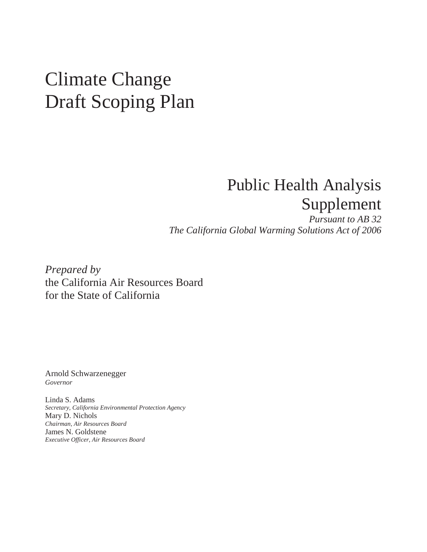# Climate Change Draft Scoping Plan

# Public Health Analysis Supplement

 *The California Global Warming Solutions Act of 2006 Pursuant to AB 32* 

 *Prepared by*  the California Air Resources Board for the State of California

Arnold Schwarzenegger *Governor* 

 Linda S. Adams Mary D. Nichols James N. Goldstene  *Executive Officer, Air Resources Board Secretary, California Environmental Protection Agency Chairman, Air Resources Board*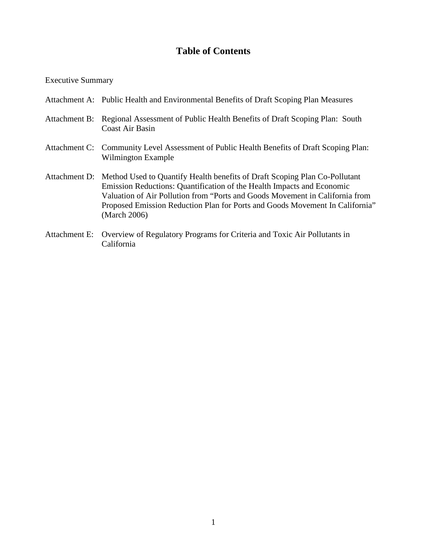## **Table of Contents**

#### Executive Summary

- Attachment A: Public Health and Environmental Benefits of Draft Scoping Plan Measures
- Attachment B: Regional Assessment of Public Health Benefits of Draft Scoping Plan: South Coast Air Basin
- Attachment C: Community Level Assessment of Public Health Benefits of Draft Scoping Plan: Wilmington Example
- Attachment D: Method Used to Quantify Health benefits of Draft Scoping Plan Co-Pollutant Emission Reductions: Quantification of the Health Impacts and Economic Valuation of Air Pollution from "Ports and Goods Movement in California from Proposed Emission Reduction Plan for Ports and Goods Movement In California" (March 2006)
- Attachment E: Overview of Regulatory Programs for Criteria and Toxic Air Pollutants in California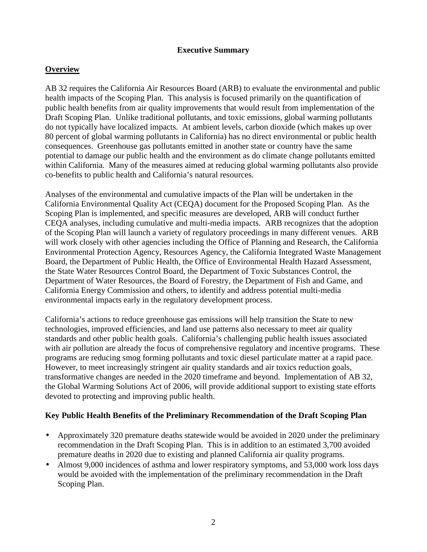#### **Executive Summary**

#### **Overview**

 AB 32 requires the California Air Resources Board (ARB) to evaluate the environmental and public health impacts of the Scoping Plan. This analysis is focused primarily on the quantification of public health benefits from air quality improvements that would result from implementation of the Draft Scoping Plan. Unlike traditional pollutants, and toxic emissions, global warming pollutants do not typically have localized impacts. At ambient levels, carbon dioxide (which makes up over 80 percent of global warming pollutants in California) has no direct environmental or public health consequences. Greenhouse gas pollutants emitted in another state or country have the same potential to damage our public health and the environment as do climate change pollutants emitted within California. Many of the measures aimed at reducing global warming pollutants also provide co-benefits to public health and California's natural resources.

 Analyses of the environmental and cumulative impacts of the Plan will be undertaken in the California Environmental Quality Act (CEQA) document for the Proposed Scoping Plan. As the Scoping Plan is implemented, and specific measures are developed, ARB will conduct further CEQA analyses, including cumulative and multi-media impacts. ARB recognizes that the adoption of the Scoping Plan will launch a variety of regulatory proceedings in many different venues. ARB will work closely with other agencies including the Office of Planning and Research, the California Environmental Protection Agency, Resources Agency, the California Integrated Waste Management Board, the Department of Public Health, the Office of Environmental Health Hazard Assessment, the State Water Resources Control Board, the Department of Toxic Substances Control, the Department of Water Resources, the Board of Forestry, the Department of Fish and Game, and California Energy Commission and others, to identify and address potential multi-media environmental impacts early in the regulatory development process.

 California's actions to reduce greenhouse gas emissions will help transition the State to new technologies, improved efficiencies, and land use patterns also necessary to meet air quality standards and other public health goals. California's challenging public health issues associated with air pollution are already the focus of comprehensive regulatory and incentive programs. These programs are reducing smog forming pollutants and toxic diesel particulate matter at a rapid pace. However, to meet increasingly stringent air quality standards and air toxics reduction goals, transformative changes are needed in the 2020 timeframe and beyond. Implementation of AB 32, the Global Warming Solutions Act of 2006, will provide additional support to existing state efforts devoted to protecting and improving public health.

#### **Key Public Health Benefits of the Preliminary Recommendation of the Draft Scoping Plan**

- • Approximately 320 premature deaths statewide would be avoided in 2020 under the preliminary recommendation in the Draft Scoping Plan. This is in addition to an estimated 3,700 avoided premature deaths in 2020 due to existing and planned California air quality programs.
- Almost 9,000 incidences of asthma and lower respiratory symptoms, and 53,000 work loss days would be avoided with the implementation of the preliminary recommendation in the Draft Scoping Plan.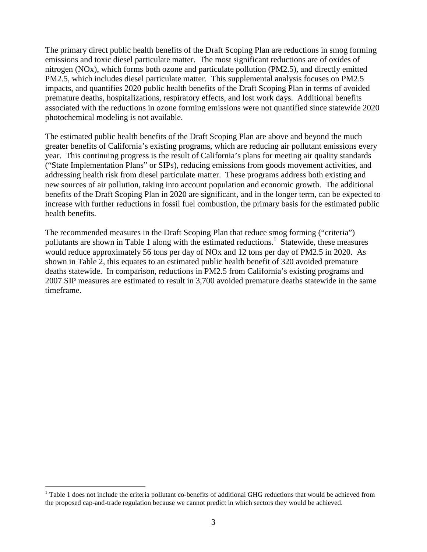The primary direct public health benefits of the Draft Scoping Plan are reductions in smog forming emissions and toxic diesel particulate matter. The most significant reductions are of oxides of nitrogen (NOx), which forms both ozone and particulate pollution (PM2.5), and directly emitted PM2.5, which includes diesel particulate matter. This supplemental analysis focuses on PM2.5 impacts, and quantifies 2020 public health benefits of the Draft Scoping Plan in terms of avoided premature deaths, hospitalizations, respiratory effects, and lost work days. Additional benefits associated with the reductions in ozone forming emissions were not quantified since statewide 2020 photochemical modeling is not available.

 The estimated public health benefits of the Draft Scoping Plan are above and beyond the much greater benefits of California's existing programs, which are reducing air pollutant emissions every year. This continuing progress is the result of California's plans for meeting air quality standards ("State Implementation Plans" or SIPs), reducing emissions from goods movement activities, and addressing health risk from diesel particulate matter. These programs address both existing and new sources of air pollution, taking into account population and economic growth. The additional benefits of the Draft Scoping Plan in 2020 are significant, and in the longer term, can be expected to increase with further reductions in fossil fuel combustion, the primary basis for the estimated public health benefits.

 The recommended measures in the Draft Scoping Plan that reduce smog forming ("criteria") pollutants are shown in Table 1 along with the estimated reductions.<sup>1</sup> Statewide, these measures would reduce approximately 56 tons per day of NOx and 12 tons per day of PM2.5 in 2020. As shown in Table 2, this equates to an estimated public health benefit of 320 avoided premature deaths statewide. In comparison, reductions in PM2.5 from California's existing programs and 2007 SIP measures are estimated to result in 3,700 avoided premature deaths statewide in the same timeframe. timeframe.<br>1 Table 1 does not include the criteria pollutant co-benefits of additional GHG reductions that would be achieved from

 $\overline{a}$ 

 $1$  Table 1 does not include the criteria pollutant co-benefits of additional GHG reductions that would be achieved from the proposed cap-and-trade regulation because we cannot predict in which sectors they would be achieved.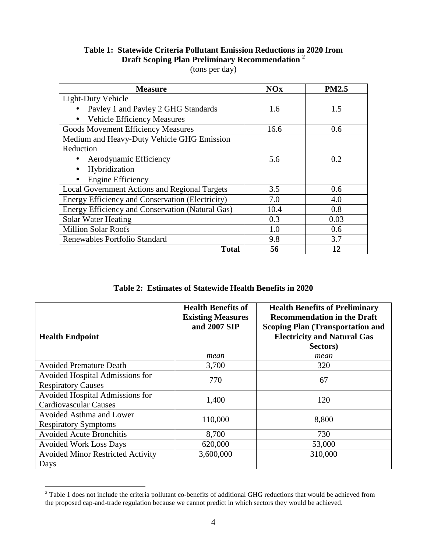## **Table 1: Statewide Criteria Pollutant Emission Reductions in 2020 from Draft Scoping Plan Preliminary Recommendation <sup>2</sup>**

(tons per day)

| <b>Measure</b>                                       | <b>NOx</b> | <b>PM2.5</b> |
|------------------------------------------------------|------------|--------------|
| Light-Duty Vehicle                                   |            |              |
| Pavley 1 and Pavley 2 GHG Standards                  | 1.6        | 1.5          |
| <b>Vehicle Efficiency Measures</b>                   |            |              |
| <b>Goods Movement Efficiency Measures</b>            | 16.6       | 0.6          |
| Medium and Heavy-Duty Vehicle GHG Emission           |            |              |
| Reduction                                            |            |              |
| Aerodynamic Efficiency                               | 5.6        | 0.2          |
| Hybridization                                        |            |              |
| <b>Engine Efficiency</b>                             |            |              |
| <b>Local Government Actions and Regional Targets</b> | 3.5        | 0.6          |
| Energy Efficiency and Conservation (Electricity)     | 7.0        | 4.0          |
| Energy Efficiency and Conservation (Natural Gas)     | 10.4       | 0.8          |
| Solar Water Heating                                  | 0.3        | 0.03         |
| <b>Million Solar Roofs</b>                           | 1.0        | 0.6          |
| Renewables Portfolio Standard                        | 9.8        | 3.7          |
| <b>Total</b>                                         | 56         | 12           |

 **Table 2: Estimates of Statewide Health Benefits in 2020** 

| <b>Health Endpoint</b>                                          | <b>Health Benefits of</b><br><b>Existing Measures</b><br>and 2007 SIP | <b>Health Benefits of Preliminary</b><br><b>Recommendation in the Draft</b><br><b>Scoping Plan (Transportation and</b><br><b>Electricity and Natural Gas</b><br>Sectors) |
|-----------------------------------------------------------------|-----------------------------------------------------------------------|--------------------------------------------------------------------------------------------------------------------------------------------------------------------------|
|                                                                 | mean                                                                  | mean                                                                                                                                                                     |
| <b>Avoided Premature Death</b>                                  | 3,700                                                                 | 320                                                                                                                                                                      |
| Avoided Hospital Admissions for<br><b>Respiratory Causes</b>    | 770                                                                   | 67                                                                                                                                                                       |
| Avoided Hospital Admissions for<br><b>Cardiovascular Causes</b> | 1,400                                                                 | 120                                                                                                                                                                      |
| Avoided Asthma and Lower<br><b>Respiratory Symptoms</b>         | 110,000                                                               | 8,800                                                                                                                                                                    |
| <b>Avoided Acute Bronchitis</b>                                 | 8,700                                                                 | 730                                                                                                                                                                      |
| <b>Avoided Work Loss Days</b>                                   | 620,000                                                               | 53,000                                                                                                                                                                   |
| <b>Avoided Minor Restricted Activity</b><br>Days                | 3,600,000                                                             | 310,000                                                                                                                                                                  |

 $2^2$  Table 1 does not include the criteria pollutant co-benefits of additional GHG reductions that would be achieved from the proposed cap-and-trade regulation because we cannot predict in which sectors they would be achieved.

 $\overline{a}$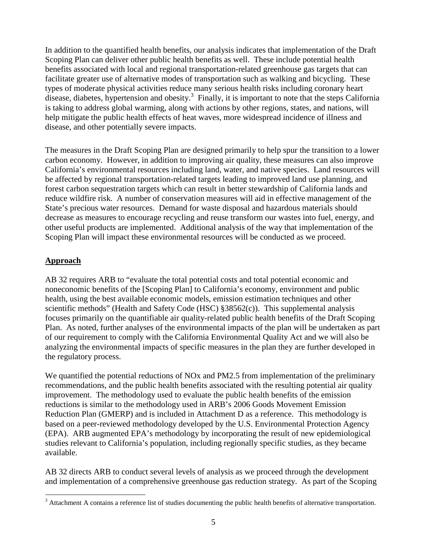In addition to the quantified health benefits, our analysis indicates that implementation of the Draft Scoping Plan can deliver other public health benefits as well. These include potential health benefits associated with local and regional transportation-related greenhouse gas targets that can facilitate greater use of alternative modes of transportation such as walking and bicycling. These types of moderate physical activities reduce many serious health risks including coronary heart disease, diabetes, hypertension and obesity. $3$  Finally, it is important to note that the steps California is taking to address global warming, along with actions by other regions, states, and nations, will help mitigate the public health effects of heat waves, more widespread incidence of illness and disease, and other potentially severe impacts.

 The measures in the Draft Scoping Plan are designed primarily to help spur the transition to a lower carbon economy. However, in addition to improving air quality, these measures can also improve California's environmental resources including land, water, and native species. Land resources will be affected by regional transportation-related targets leading to improved land use planning, and forest carbon sequestration targets which can result in better stewardship of California lands and reduce wildfire risk. A number of conservation measures will aid in effective management of the State's precious water resources. Demand for waste disposal and hazardous materials should decrease as measures to encourage recycling and reuse transform our wastes into fuel, energy, and other useful products are implemented. Additional analysis of the way that implementation of the Scoping Plan will impact these environmental resources will be conducted as we proceed.

#### **Approach**

 AB 32 requires ARB to "evaluate the total potential costs and total potential economic and noneconomic benefits of the [Scoping Plan] to California's economy, environment and public health, using the best available economic models, emission estimation techniques and other scientific methods" (Health and Safety Code (HSC) §38562(c)). This supplemental analysis focuses primarily on the quantifiable air quality-related public health benefits of the Draft Scoping Plan. As noted, further analyses of the environmental impacts of the plan will be undertaken as part of our requirement to comply with the California Environmental Quality Act and we will also be analyzing the environmental impacts of specific measures in the plan they are further developed in the regulatory process.

 We quantified the potential reductions of NOx and PM2.5 from implementation of the preliminary recommendations, and the public health benefits associated with the resulting potential air quality improvement. The methodology used to evaluate the public health benefits of the emission reductions is similar to the methodology used in ARB's 2006 Goods Movement Emission Reduction Plan (GMERP) and is included in Attachment D as a reference. This methodology is based on a peer-reviewed methodology developed by the U.S. Environmental Protection Agency (EPA). ARB augmented EPA's methodology by incorporating the result of new epidemiological studies relevant to California's population, including regionally specific studies, as they became available.

available.<br>AB 32 directs ARB to conduct several levels of analysis as we proceed through the development and implementation of a comprehensive greenhouse gas reduction strategy. As part of the Scoping

 $\overline{a}$  $3$  Attachment A contains a reference list of studies documenting the public health benefits of alternative transportation.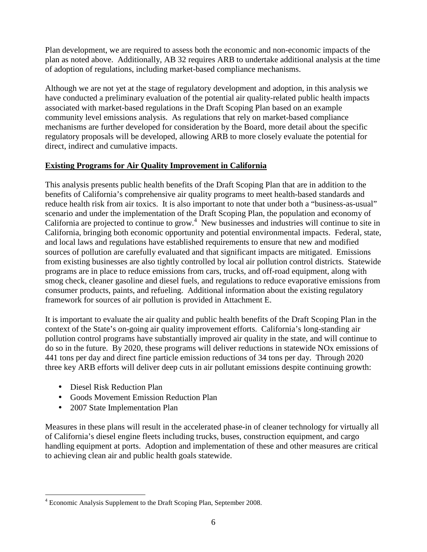Plan development, we are required to assess both the economic and non-economic impacts of the plan as noted above. Additionally, AB 32 requires ARB to undertake additional analysis at the time of adoption of regulations, including market-based compliance mechanisms.

 Although we are not yet at the stage of regulatory development and adoption, in this analysis we have conducted a preliminary evaluation of the potential air quality-related public health impacts associated with market-based regulations in the Draft Scoping Plan based on an example community level emissions analysis. As regulations that rely on market-based compliance mechanisms are further developed for consideration by the Board, more detail about the specific regulatory proposals will be developed, allowing ARB to more closely evaluate the potential for direct, indirect and cumulative impacts.

#### **Existing Programs for Air Quality Improvement in California**

 This analysis presents public health benefits of the Draft Scoping Plan that are in addition to the benefits of California's comprehensive air quality programs to meet health-based standards and reduce health risk from air toxics. It is also important to note that under both a "business-as-usual" scenario and under the implementation of the Draft Scoping Plan, the population and economy of California are projected to continue to grow.<sup>4</sup> New businesses and industries will continue to site in California, bringing both economic opportunity and potential environmental impacts. Federal, state, and local laws and regulations have established requirements to ensure that new and modified sources of pollution are carefully evaluated and that significant impacts are mitigated. Emissions from existing businesses are also tightly controlled by local air pollution control districts. Statewide programs are in place to reduce emissions from cars, trucks, and off-road equipment, along with smog check, cleaner gasoline and diesel fuels, and regulations to reduce evaporative emissions from consumer products, paints, and refueling. Additional information about the existing regulatory framework for sources of air pollution is provided in Attachment E.

 It is important to evaluate the air quality and public health benefits of the Draft Scoping Plan in the context of the State's on-going air quality improvement efforts. California's long-standing air pollution control programs have substantially improved air quality in the state, and will continue to do so in the future. By 2020, these programs will deliver reductions in statewide NOx emissions of 441 tons per day and direct fine particle emission reductions of 34 tons per day. Through 2020 three key ARB efforts will deliver deep cuts in air pollutant emissions despite continuing growth:

- Diesel Risk Reduction Plan
- Goods Movement Emission Reduction Plan
- 2007 State Implementation Plan

 Measures in these plans will result in the accelerated phase-in of cleaner technology for virtually all of California's diesel engine fleets including trucks, buses, construction equipment, and cargo handling equipment at ports. Adoption and implementation of these and other measures are critical to achieving clean air and public health goals statewide.

 $\overline{a}$ <sup>4</sup> Economic Analysis Supplement to the Draft Scoping Plan, September 2008.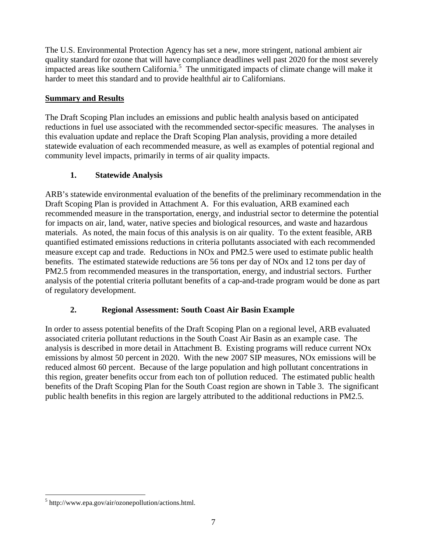The U.S. Environmental Protection Agency has set a new, more stringent, national ambient air quality standard for ozone that will have compliance deadlines well past 2020 for the most severely impacted areas like southern California.<sup>5</sup> The unmitigated impacts of climate change will make it harder to meet this standard and to provide healthful air to Californians.

#### **Summary and Results**

 The Draft Scoping Plan includes an emissions and public health analysis based on anticipated reductions in fuel use associated with the recommended sector-specific measures. The analyses in this evaluation update and replace the Draft Scoping Plan analysis, providing a more detailed statewide evaluation of each recommended measure, as well as examples of potential regional and community level impacts, primarily in terms of air quality impacts.

#### **1. Statewide Analysis**

 ARB's statewide environmental evaluation of the benefits of the preliminary recommendation in the Draft Scoping Plan is provided in Attachment A. For this evaluation, ARB examined each recommended measure in the transportation, energy, and industrial sector to determine the potential for impacts on air, land, water, native species and biological resources, and waste and hazardous materials. As noted, the main focus of this analysis is on air quality. To the extent feasible, ARB quantified estimated emissions reductions in criteria pollutants associated with each recommended measure except cap and trade. Reductions in NOx and PM2.5 were used to estimate public health benefits. The estimated statewide reductions are 56 tons per day of NOx and 12 tons per day of PM2.5 from recommended measures in the transportation, energy, and industrial sectors. Further analysis of the potential criteria pollutant benefits of a cap-and-trade program would be done as part of regulatory development.

#### **2. Regional Assessment: South Coast Air Basin Example**

 In order to assess potential benefits of the Draft Scoping Plan on a regional level, ARB evaluated associated criteria pollutant reductions in the South Coast Air Basin as an example case. The analysis is described in more detail in Attachment B. Existing programs will reduce current NOx emissions by almost 50 percent in 2020. With the new 2007 SIP measures, NOx emissions will be reduced almost 60 percent. Because of the large population and high pollutant concentrations in this region, greater benefits occur from each ton of pollution reduced. The estimated public health benefits of the Draft Scoping Plan for the South Coast region are shown in Table 3. The significant public health benefits in this region are largely attributed to the additional reductions in PM2.5.

 $\overline{a}$ 5 [http://www.epa.gov/air/ozonepollution/actions.html.](http://www.epa.gov/air/ozonepollution/actions.html)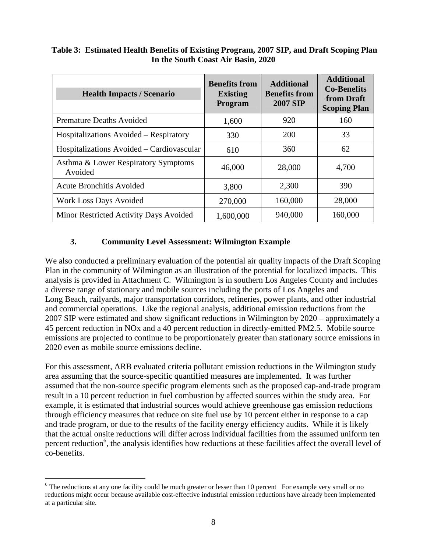#### **Table 3: Estimated Health Benefits of Existing Program, 2007 SIP, and Draft Scoping Plan In the South Coast Air Basin, 2020**

| <b>Health Impacts / Scenario</b>               | <b>Benefits from</b><br><b>Existing</b><br>Program | <b>Additional</b><br><b>Benefits from</b><br><b>2007 SIP</b> | <b>Additional</b><br><b>Co-Benefits</b><br>from Draft<br><b>Scoping Plan</b> |
|------------------------------------------------|----------------------------------------------------|--------------------------------------------------------------|------------------------------------------------------------------------------|
| <b>Premature Deaths Avoided</b>                | 1,600                                              | 920                                                          | 160                                                                          |
| Hospitalizations Avoided – Respiratory         | 330                                                | 200                                                          | 33                                                                           |
| Hospitalizations Avoided – Cardiovascular      | 610                                                | 360                                                          | 62                                                                           |
| Asthma & Lower Respiratory Symptoms<br>Avoided | 46,000                                             | 28,000                                                       | 4,700                                                                        |
| <b>Acute Bronchitis Avoided</b>                | 3,800                                              | 2,300                                                        | 390                                                                          |
| Work Loss Days Avoided                         | 270,000                                            | 160,000                                                      | 28,000                                                                       |
| Minor Restricted Activity Days Avoided         | 1,600,000                                          | 940,000                                                      | 160,000                                                                      |

#### **3. Community Level Assessment: Wilmington Example**

 We also conducted a preliminary evaluation of the potential air quality impacts of the Draft Scoping Plan in the community of Wilmington as an illustration of the potential for localized impacts. This analysis is provided in Attachment C. Wilmington is in southern Los Angeles County and includes a diverse range of stationary and mobile sources including the ports of Los Angeles and Long Beach, railyards, major transportation corridors, refineries, power plants, and other industrial and commercial operations. Like the regional analysis, additional emission reductions from the 2007 SIP were estimated and show significant reductions in Wilmington by 2020 – approximately a 45 percent reduction in NOx and a 40 percent reduction in directly-emitted PM2.5. Mobile source emissions are projected to continue to be proportionately greater than stationary source emissions in 2020 even as mobile source emissions decline.

 For this assessment, ARB evaluated criteria pollutant emission reductions in the Wilmington study area assuming that the source-specific quantified measures are implemented. It was further assumed that the non-source specific program elements such as the proposed cap-and-trade program result in a 10 percent reduction in fuel combustion by affected sources within the study area. For example, it is estimated that industrial sources would achieve greenhouse gas emission reductions through efficiency measures that reduce on site fuel use by 10 percent either in response to a cap and trade program, or due to the results of the facility energy efficiency audits. While it is likely that the actual onsite reductions will differ across individual facilities from the assumed uniform ten percent reduction<sup>6</sup>, the analysis identifies how reductions at these facilities affect the overall level of co-benefits. co-benefits.<br><sup>6</sup> The reductions at any one facility could be much greater or lesser than 10 percent For example very small or no

 $\overline{a}$  reductions might occur because available cost-effective industrial emission reductions have already been implemented at a particular site.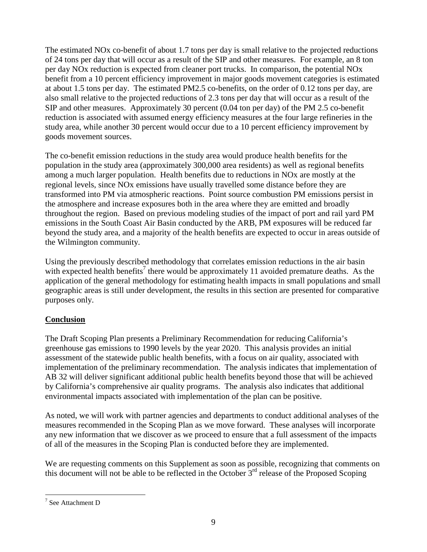The estimated NOx co-benefit of about 1.7 tons per day is small relative to the projected reductions of 24 tons per day that will occur as a result of the SIP and other measures. For example, an 8 ton per day NOx reduction is expected from cleaner port trucks. In comparison, the potential NOx benefit from a 10 percent efficiency improvement in major goods movement categories is estimated at about 1.5 tons per day. The estimated PM2.5 co-benefits, on the order of 0.12 tons per day, are also small relative to the projected reductions of 2.3 tons per day that will occur as a result of the SIP and other measures. Approximately 30 percent (0.04 ton per day) of the PM 2.5 co-benefit reduction is associated with assumed energy efficiency measures at the four large refineries in the study area, while another 30 percent would occur due to a 10 percent efficiency improvement by goods movement sources.

 The co-benefit emission reductions in the study area would produce health benefits for the population in the study area (approximately 300,000 area residents) as well as regional benefits among a much larger population. Health benefits due to reductions in NOx are mostly at the regional levels, since NOx emissions have usually travelled some distance before they are transformed into PM via atmospheric reactions. Point source combustion PM emissions persist in the atmosphere and increase exposures both in the area where they are emitted and broadly throughout the region. Based on previous modeling studies of the impact of port and rail yard PM emissions in the South Coast Air Basin conducted by the ARB, PM exposures will be reduced far beyond the study area, and a majority of the health benefits are expected to occur in areas outside of the Wilmington community.

 Using the previously described methodology that correlates emission reductions in the air basin with expected health benefits<sup>7</sup> there would be approximately 11 avoided premature deaths. As the application of the general methodology for estimating health impacts in small populations and small geographic areas is still under development, the results in this section are presented for comparative purposes only.

#### **Conclusion**

 The Draft Scoping Plan presents a Preliminary Recommendation for reducing California's greenhouse gas emissions to 1990 levels by the year 2020. This analysis provides an initial assessment of the statewide public health benefits, with a focus on air quality, associated with implementation of the preliminary recommendation. The analysis indicates that implementation of AB 32 will deliver significant additional public health benefits beyond those that will be achieved by California's comprehensive air quality programs. The analysis also indicates that additional environmental impacts associated with implementation of the plan can be positive.

 As noted, we will work with partner agencies and departments to conduct additional analyses of the measures recommended in the Scoping Plan as we move forward. These analyses will incorporate any new information that we discover as we proceed to ensure that a full assessment of the impacts of all of the measures in the Scoping Plan is conducted before they are implemented.

 We are requesting comments on this Supplement as soon as possible, recognizing that comments on this document will not be able to be reflected in the October  $3<sup>rd</sup>$  release of the Proposed Scoping

 $\overline{a}$ 7 See Attachment D